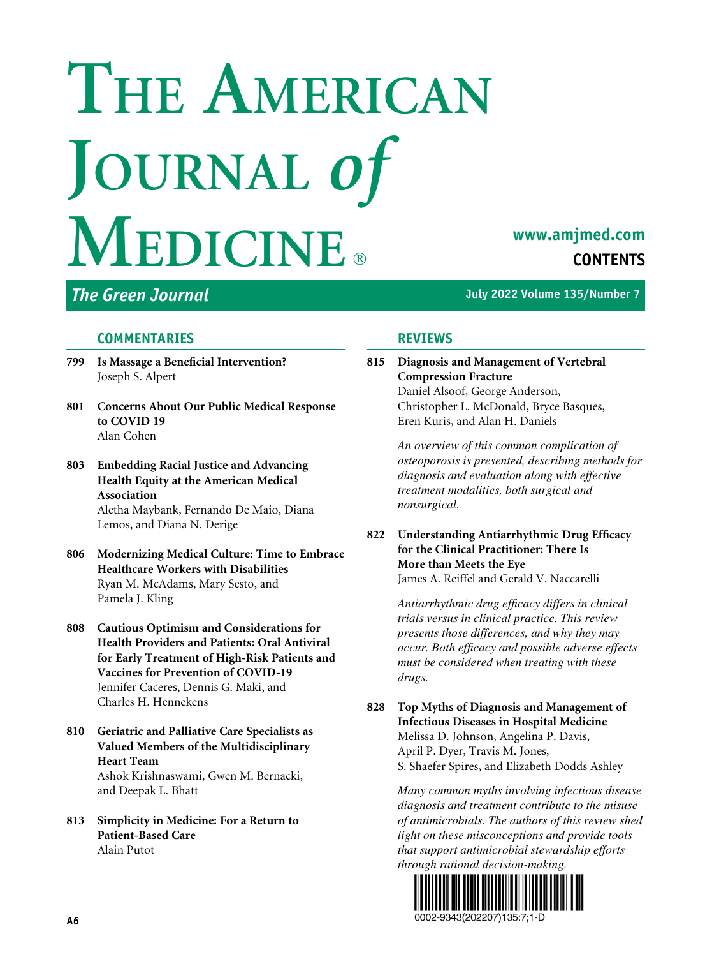# THE AMERICAN JOURNAL of **MEDICINE**

# www.amjmed.com **CONTENTS**

The Green Journal and The Green Journal Allen Control of the United States of the United States of the United States of the United States of the United States of the United States of the United States of the United States

#### **COMMENTARIES**

- 799 Is Massage a Beneficial Intervention? Joseph S. Alpert
- 801 Concerns About Our Public Medical Response to COVID 19 Alan Cohen
- 803 Embedding Racial Justice and Advancing Health Equity at the American Medical Association Aletha Maybank, Fernando De Maio, Diana Lemos, and Diana N. Derige
- 806 Modernizing Medical Culture: Time to Embrace Healthcare Workers with Disabilities Ryan M. McAdams, Mary Sesto, and Pamela J. Kling
- 808 Cautious Optimism and Considerations for Health Providers and Patients: Oral Antiviral for Early Treatment of High-Risk Patients and Vaccines for Prevention of COVID-19 Jennifer Caceres, Dennis G. Maki, and Charles H. Hennekens
- 810 Geriatric and Palliative Care Specialists as Valued Members of the Multidisciplinary Heart Team Ashok Krishnaswami, Gwen M. Bernacki, and Deepak L. Bhatt
- 813 Simplicity in Medicine: For a Return to Patient-Based Care Alain Putot

### REVIEWS

815 Diagnosis and Management of Vertebral Compression Fracture Daniel Alsoof, George Anderson, Christopher L. McDonald, Bryce Basques, Eren Kuris, and Alan H. Daniels

> An overview of this common complication of osteoporosis is presented, describing methods for diagnosis and evaluation along with effective treatment modalities, both surgical and nonsurgical.

822 Understanding Antiarrhythmic Drug Efficacy for the Clinical Practitioner: There Is More than Meets the Eye James A. Reiffel and Gerald V. Naccarelli

> Antiarrhythmic drug efficacy differs in clinical trials versus in clinical practice. This review presents those differences, and why they may occur. Both efficacy and possible adverse effects must be considered when treating with these drugs.

828 Top Myths of Diagnosis and Management of Infectious Diseases in Hospital Medicine Melissa D. Johnson, Angelina P. Davis, April P. Dyer, Travis M. Jones, S. Shaefer Spires, and Elizabeth Dodds Ashley

> Many common myths involving infectious disease diagnosis and treatment contribute to the misuse of antimicrobials. The authors of this review shed light on these misconceptions and provide tools that support antimicrobial stewardship efforts through rational decision-making.

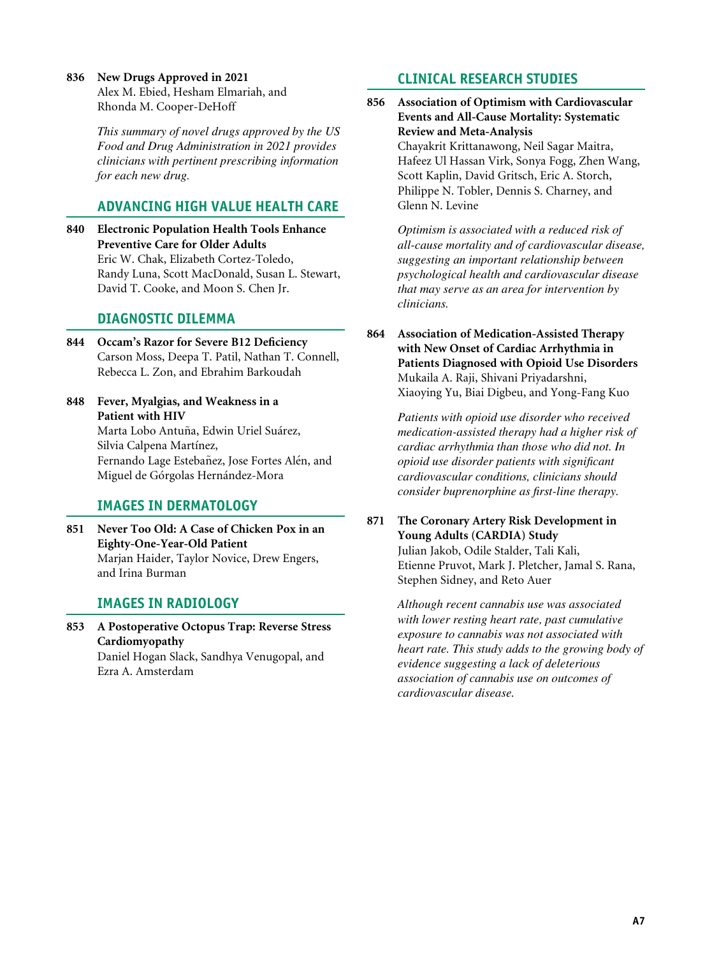836 New Drugs Approved in 2021 Alex M. Ebied, Hesham Elmariah, and Rhonda M. Cooper-DeHoff

> This summary of novel drugs approved by the US Food and Drug Administration in 2021 provides clinicians with pertinent prescribing information for each new drug.

#### ADVANCING HIGH VALUE HEALTH CARE

840 Electronic Population Health Tools Enhance Preventive Care for Older Adults Eric W. Chak, Elizabeth Cortez-Toledo, Randy Luna, Scott MacDonald, Susan L. Stewart, David T. Cooke, and Moon S. Chen Jr.

#### DIAGNOSTIC DILEMMA

- 844 Occam's Razor for Severe B12 Deficiency Carson Moss, Deepa T. Patil, Nathan T. Connell, Rebecca L. Zon, and Ebrahim Barkoudah
- 848 Fever, Myalgias, and Weakness in a Patient with HIV Marta Lobo Antuña, Edwin Uriel Suárez, Silvia Calpena Martínez, Fernando Lage Estebañez, Jose Fortes Alén, and Miguel de Górgolas Hernández-Mora

#### IMAGES IN DERMATOLOGY

851 Never Too Old: A Case of Chicken Pox in an Eighty-One-Year-Old Patient Marjan Haider, Taylor Novice, Drew Engers, and Irina Burman

#### IMAGES IN RADIOLOGY

853 A Postoperative Octopus Trap: Reverse Stress Cardiomyopathy Daniel Hogan Slack, Sandhya Venugopal, and Ezra A. Amsterdam

#### CLINICAL RESEARCH STUDIES

856 Association of Optimism with Cardiovascular Events and All-Cause Mortality: Systematic Review and Meta-Analysis

> Chayakrit Krittanawong, Neil Sagar Maitra, Hafeez Ul Hassan Virk, Sonya Fogg, Zhen Wang, Scott Kaplin, David Gritsch, Eric A. Storch, Philippe N. Tobler, Dennis S. Charney, and Glenn N. Levine

Optimism is associated with a reduced risk of all-cause mortality and of cardiovascular disease, suggesting an important relationship between psychological health and cardiovascular disease that may serve as an area for intervention by clinicians.

864 Association of Medication-Assisted Therapy with New Onset of Cardiac Arrhythmia in Patients Diagnosed with Opioid Use Disorders Mukaila A. Raji, Shivani Priyadarshni, Xiaoying Yu, Biai Digbeu, and Yong-Fang Kuo

> Patients with opioid use disorder who received medication-assisted therapy had a higher risk of cardiac arrhythmia than those who did not. In opioid use disorder patients with significant cardiovascular conditions, clinicians should consider buprenorphine as first-line therapy.

871 The Coronary Artery Risk Development in Young Adults (CARDIA) Study Julian Jakob, Odile Stalder, Tali Kali, Etienne Pruvot, Mark J. Pletcher, Jamal S. Rana, Stephen Sidney, and Reto Auer

> Although recent cannabis use was associated with lower resting heart rate, past cumulative exposure to cannabis was not associated with heart rate. This study adds to the growing body of evidence suggesting a lack of deleterious association of cannabis use on outcomes of cardiovascular disease.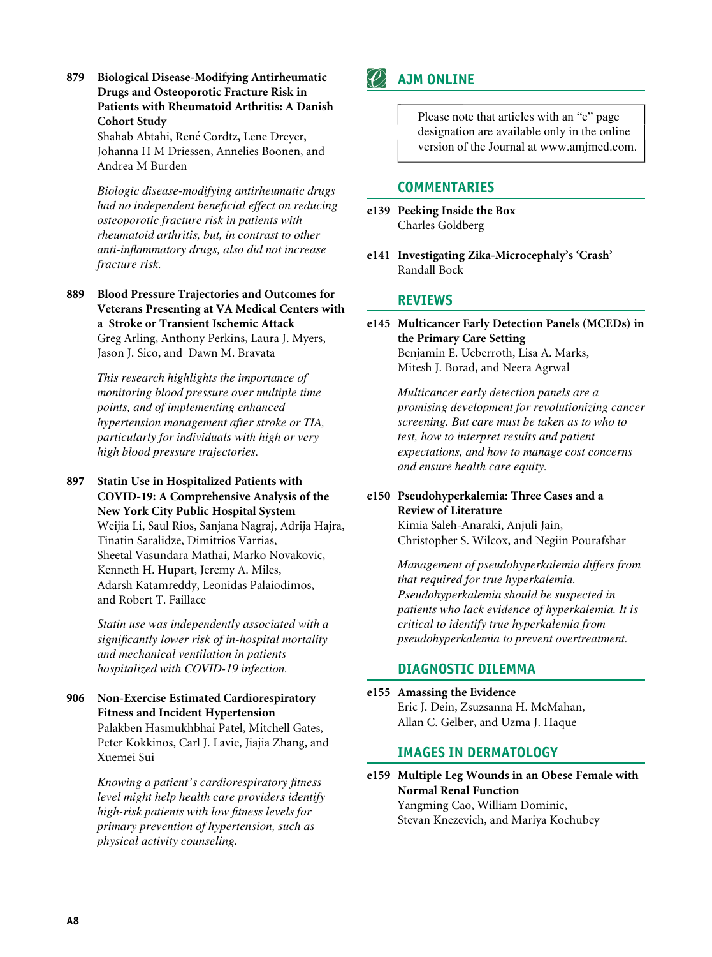879 Biological Disease-Modifying Antirheumatic Drugs and Osteoporotic Fracture Risk in Patients with Rheumatoid Arthritis: A Danish Cohort Study

> Shahab Abtahi, René Cordtz, Lene Dreyer, Johanna H M Driessen, Annelies Boonen, and Andrea M Burden

Biologic disease-modifying antirheumatic drugs had no independent beneficial effect on reducing osteoporotic fracture risk in patients with rheumatoid arthritis, but, in contrast to other anti-inflammatory drugs, also did not increase fracture risk.

889 Blood Pressure Trajectories and Outcomes for Veterans Presenting at VA Medical Centers with a Stroke or Transient Ischemic Attack Greg Arling, Anthony Perkins, Laura J. Myers, Jason J. Sico, and Dawn M. Bravata

> This research highlights the importance of monitoring blood pressure over multiple time points, and of implementing enhanced hypertension management after stroke or TIA, particularly for individuals with high or very high blood pressure trajectories.

897 Statin Use in Hospitalized Patients with COVID-19: A Comprehensive Analysis of the New York City Public Hospital System Weijia Li, Saul Rios, Sanjana Nagraj, Adrija Hajra, Tinatin Saralidze, Dimitrios Varrias, Sheetal Vasundara Mathai, Marko Novakovic, Kenneth H. Hupart, Jeremy A. Miles, Adarsh Katamreddy, Leonidas Palaiodimos,

and Robert T. Faillace

Statin use was independently associated with a significantly lower risk of in-hospital mortality and mechanical ventilation in patients hospitalized with COVID-19 infection.

906 Non-Exercise Estimated Cardiorespiratory Fitness and Incident Hypertension Palakben Hasmukhbhai Patel, Mitchell Gates, Peter Kokkinos, Carl J. Lavie, Jiajia Zhang, and Xuemei Sui

> Knowing a patient's cardiorespiratory fitness level might help health care providers identify high-risk patients with low fitness levels for primary prevention of hypertension, such as physical activity counseling.

## AJM ONLINE

Please note that articles with an "e" page designation are available only in the online version of the Journal at www.amjmed.com.

#### COMMENTARIES

- e139 Peeking Inside the Box Charles Goldberg
- e141 Investigating Zika-Microcephaly's 'Crash' Randall Bock

#### REVIEWS

e145 Multicancer Early Detection Panels (MCEDs) in the Primary Care Setting Benjamin E. Ueberroth, Lisa A. Marks, Mitesh J. Borad, and Neera Agrwal

> Multicancer early detection panels are a promising development for revolutionizing cancer screening. But care must be taken as to who to test, how to interpret results and patient expectations, and how to manage cost concerns and ensure health care equity.

#### e150 Pseudohyperkalemia: Three Cases and a Review of Literature

Kimia Saleh-Anaraki, Anjuli Jain, Christopher S. Wilcox, and Negiin Pourafshar

Management of pseudohyperkalemia differs from that required for true hyperkalemia. Pseudohyperkalemia should be suspected in patients who lack evidence of hyperkalemia. It is critical to identify true hyperkalemia from pseudohyperkalemia to prevent overtreatment.

#### DIAGNOSTIC DILEMMA

e155 Amassing the Evidence Eric J. Dein, Zsuzsanna H. McMahan, Allan C. Gelber, and Uzma J. Haque

#### IMAGES IN DERMATOLOGY

e159 Multiple Leg Wounds in an Obese Female with Normal Renal Function Yangming Cao, William Dominic, Stevan Knezevich, and Mariya Kochubey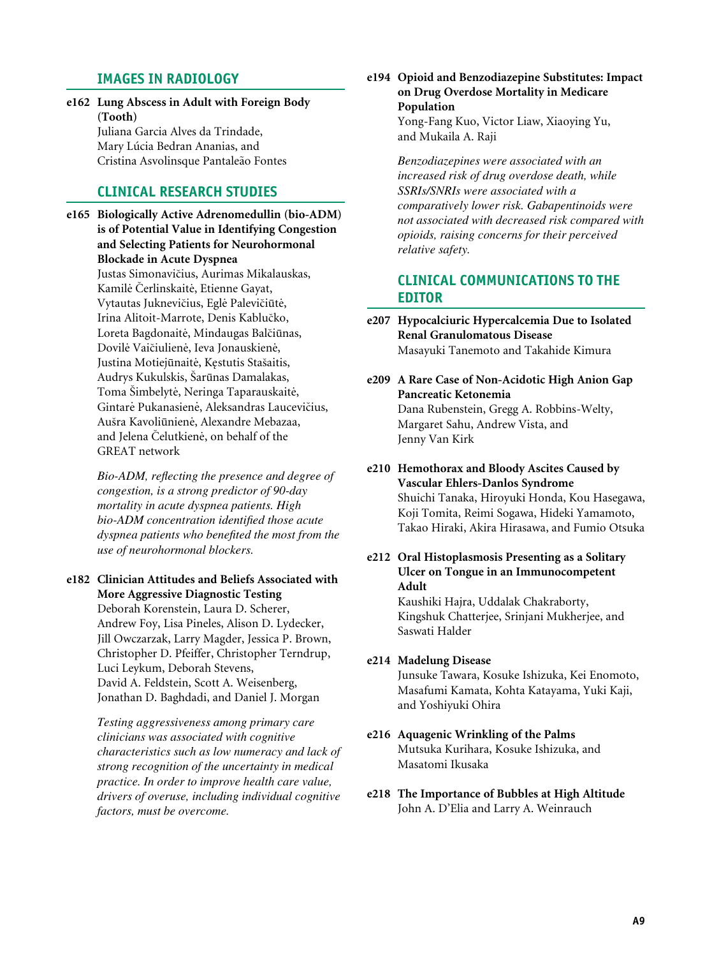#### **IMAGES IN RADIOLOGY**

e162 Lung Abscess in Adult with Foreign Body (Tooth) Juliana Garcia Alves da Trindade, Mary Lúcia Bedran Ananias, and

Cristina Asvolinsque Pantaleão Fontes

#### **CLINICAL RESEARCH STUDIES**

e165 Biologically Active Adrenomedullin (bio-ADM) is of Potential Value in Identifying Congestion and Selecting Patients for Neurohormonal **Blockade in Acute Dyspnea** Justas Simonavičius, Aurimas Mikalauskas, Kamilė Čerlinskaitė, Etienne Gayat, Vytautas Juknevičius, Eglė Palevičiūtė, Irina Alitoit-Marrote, Denis Kablučko, Loreta Bagdonaitė, Mindaugas Balčiūnas, Dovilė Vaičiulienė, Ieva Jonauskienė, Justina Motiejūnaitė, Kestutis Stašaitis, Audrys Kukulskis, Šarūnas Damalakas, Toma Šimbelytė, Neringa Taparauskaitė, Gintarė Pukanasienė, Aleksandras Laucevičius, Aušra Kavoliūnienė, Alexandre Mebazaa, and Jelena Čelutkienė, on behalf of the **GREAT** network

> Bio-ADM, reflecting the presence and degree of congestion, is a strong predictor of 90-day mortality in acute dyspnea patients. High bio-ADM concentration identified those acute dyspnea patients who benefited the most from the use of neurohormonal blockers.

e182 Clinician Attitudes and Beliefs Associated with **More Aggressive Diagnostic Testing** 

> Deborah Korenstein, Laura D. Scherer, Andrew Foy, Lisa Pineles, Alison D. Lydecker, Jill Owczarzak, Larry Magder, Jessica P. Brown, Christopher D. Pfeiffer, Christopher Terndrup, Luci Leykum, Deborah Stevens, David A. Feldstein, Scott A. Weisenberg, Jonathan D. Baghdadi, and Daniel J. Morgan

Testing aggressiveness among primary care clinicians was associated with cognitive characteristics such as low numeracy and lack of strong recognition of the uncertainty in medical practice. In order to improve health care value, drivers of overuse, including individual cognitive factors, must be overcome.

e194 Opioid and Benzodiazepine Substitutes: Impact on Drug Overdose Mortality in Medicare Population

> Yong-Fang Kuo, Victor Liaw, Xiaoying Yu, and Mukaila A. Raji

Benzodiazepines were associated with an increased risk of drug overdose death, while SSRIs/SNRIs were associated with a comparatively lower risk. Gabapentinoids were not associated with decreased risk compared with opioids, raising concerns for their perceived relative safety.

#### **CLINICAL COMMUNICATIONS TO THE EDITOR**

- e207 Hypocalciuric Hypercalcemia Due to Isolated **Renal Granulomatous Disease** Masayuki Tanemoto and Takahide Kimura
- e209 A Rare Case of Non-Acidotic High Anion Gap Pancreatic Ketonemia Dana Rubenstein, Gregg A. Robbins-Welty, Margaret Sahu, Andrew Vista, and Jenny Van Kirk
- e210 Hemothorax and Bloody Ascites Caused by Vascular Ehlers-Danlos Syndrome Shuichi Tanaka, Hiroyuki Honda, Kou Hasegawa, Koji Tomita, Reimi Sogawa, Hideki Yamamoto, Takao Hiraki, Akira Hirasawa, and Fumio Otsuka
- e212 Oral Histoplasmosis Presenting as a Solitary Ulcer on Tongue in an Immunocompetent Adult

Kaushiki Hajra, Uddalak Chakraborty, Kingshuk Chatterjee, Srinjani Mukherjee, and Saswati Halder

#### e214 Madelung Disease

Junsuke Tawara, Kosuke Ishizuka, Kei Enomoto, Masafumi Kamata, Kohta Katayama, Yuki Kaji, and Yoshiyuki Ohira

- e216 Aquagenic Wrinkling of the Palms Mutsuka Kurihara, Kosuke Ishizuka, and Masatomi Ikusaka
- e218 The Importance of Bubbles at High Altitude John A. D'Elia and Larry A. Weinrauch